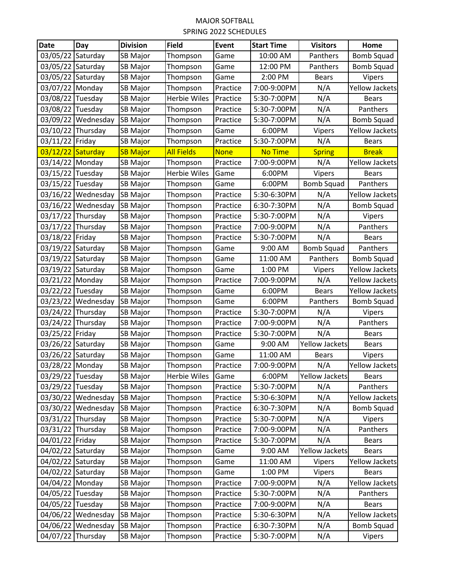## MAJOR SOFTBALL SPRING 2022 SCHEDULES

| <b>Date</b>       | Day                | <b>Division</b> | <b>Field</b>        | Event       | <b>Start Time</b> | <b>Visitors</b>       | Home                  |
|-------------------|--------------------|-----------------|---------------------|-------------|-------------------|-----------------------|-----------------------|
| 03/05/22 Saturday |                    | SB Major        | Thompson            | Game        | 10:00 AM          | Panthers              | <b>Bomb Squad</b>     |
| 03/05/22          | Saturday           | <b>SB Major</b> | Thompson            | Game        | 12:00 PM          | Panthers              | <b>Bomb Squad</b>     |
| 03/05/22          | Saturday           | <b>SB Major</b> | Thompson            | Game        | 2:00 PM           | <b>Bears</b>          | Vipers                |
| 03/07/22 Monday   |                    | <b>SB Major</b> | Thompson            | Practice    | 7:00-9:00PM       | N/A                   | <b>Yellow Jackets</b> |
| 03/08/22          | Tuesday            | <b>SB Major</b> | <b>Herbie Wiles</b> | Practice    | 5:30-7:00PM       | N/A                   | <b>Bears</b>          |
| 03/08/22 Tuesday  |                    | <b>SB Major</b> | Thompson            | Practice    | 5:30-7:00PM       | N/A                   | Panthers              |
| 03/09/22          | Wednesday          | <b>SB Major</b> | Thompson            | Practice    | 5:30-7:00PM       | N/A                   | <b>Bomb Squad</b>     |
| 03/10/22 Thursday |                    | <b>SB Major</b> | Thompson            | Game        | 6:00PM            | Vipers                | <b>Yellow Jackets</b> |
| 03/11/22 Friday   |                    | <b>SB Major</b> | Thompson            | Practice    | 5:30-7:00PM       | N/A                   | <b>Bears</b>          |
| 03/12/22          | Saturday           | <b>SB Major</b> | <b>All Fields</b>   | <b>None</b> | <b>No Time</b>    | <b>Spring</b>         | <b>Break</b>          |
| 03/14/22 Monday   |                    | <b>SB Major</b> | Thompson            | Practice    | 7:00-9:00PM       | N/A                   | <b>Yellow Jackets</b> |
| 03/15/22          | Tuesday            | <b>SB Major</b> | Herbie Wiles        | Game        | 6:00PM            | Vipers                | <b>Bears</b>          |
| 03/15/22 Tuesday  |                    | <b>SB Major</b> | Thompson            | Game        | 6:00PM            | <b>Bomb Squad</b>     | Panthers              |
| 03/16/22          | Wednesday          | <b>SB Major</b> | Thompson            | Practice    | 5:30-6:30PM       | N/A                   | <b>Yellow Jackets</b> |
| 03/16/22          | Wednesday          | <b>SB Major</b> | Thompson            | Practice    | 6:30-7:30PM       | N/A                   | <b>Bomb Squad</b>     |
| 03/17/22          | Thursday           | <b>SB Major</b> | Thompson            | Practice    | 5:30-7:00PM       | N/A                   | Vipers                |
| 03/17/22          | Thursday           | <b>SB Major</b> | Thompson            | Practice    | 7:00-9:00PM       | N/A                   | Panthers              |
| 03/18/22 Friday   |                    | <b>SB Major</b> | Thompson            | Practice    | 5:30-7:00PM       | N/A                   | <b>Bears</b>          |
| 03/19/22 Saturday |                    | <b>SB Major</b> | Thompson            | Game        | 9:00 AM           | <b>Bomb Squad</b>     | Panthers              |
| 03/19/22 Saturday |                    | <b>SB Major</b> | Thompson            | Game        | 11:00 AM          | Panthers              | <b>Bomb Squad</b>     |
| 03/19/22          | Saturday           | SB Major        | Thompson            | Game        | 1:00 PM           | Vipers                | <b>Yellow Jackets</b> |
| 03/21/22 Monday   |                    | <b>SB Major</b> | Thompson            | Practice    | 7:00-9:00PM       | N/A                   | <b>Yellow Jackets</b> |
| 03/22/22          | Tuesday            | SB Major        | Thompson            | Game        | 6:00PM            | <b>Bears</b>          | <b>Yellow Jackets</b> |
| 03/23/22          | Wednesday          | <b>SB Major</b> | Thompson            | Game        | 6:00PM            | Panthers              | <b>Bomb Squad</b>     |
| 03/24/22          | Thursday           | <b>SB Major</b> | Thompson            | Practice    | 5:30-7:00PM       | N/A                   | Vipers                |
| 03/24/22          | Thursday           | SB Major        | Thompson            | Practice    | 7:00-9:00PM       | N/A                   | Panthers              |
| 03/25/22 Friday   |                    | <b>SB Major</b> | Thompson            | Practice    | 5:30-7:00PM       | N/A                   | <b>Bears</b>          |
| 03/26/22          | Saturday           | SB Major        | Thompson            | Game        | 9:00 AM           | <b>Yellow Jackets</b> | <b>Bears</b>          |
| 03/26/22          | Saturday           | SB Major        | Thompson            | Game        | 11:00 AM          | <b>Bears</b>          | Vipers                |
| 03/28/22 Monday   |                    | <b>SB Major</b> | Thompson            | Practice    | 7:00-9:00PM       | N/A                   | Yellow Jackets        |
| 03/29/22 Tuesday  |                    | <b>SB Major</b> | <b>Herbie Wiles</b> | Game        | 6:00PM            | <b>Yellow Jackets</b> | <b>Bears</b>          |
| 03/29/22 Tuesday  |                    | <b>SB Major</b> | Thompson            | Practice    | 5:30-7:00PM       | N/A                   | Panthers              |
|                   | 03/30/22 Wednesday | SB Major        | Thompson            | Practice    | 5:30-6:30PM       | N/A                   | Yellow Jackets        |
| 03/30/22          | Wednesday          | <b>SB Major</b> | Thompson            | Practice    | 6:30-7:30PM       | N/A                   | <b>Bomb Squad</b>     |
| 03/31/22          | Thursday           | SB Major        | Thompson            | Practice    | 5:30-7:00PM       | N/A                   | <b>Vipers</b>         |
| 03/31/22          | Thursday           | SB Major        | Thompson            | Practice    | 7:00-9:00PM       | N/A                   | Panthers              |
| 04/01/22 Friday   |                    | SB Major        | Thompson            | Practice    | 5:30-7:00PM       | N/A                   | <b>Bears</b>          |
| 04/02/22 Saturday |                    | SB Major        | Thompson            | Game        | 9:00 AM           | <b>Yellow Jackets</b> | <b>Bears</b>          |
| 04/02/22 Saturday |                    | SB Major        | Thompson            | Game        | 11:00 AM          | Vipers                | Yellow Jackets        |
| 04/02/22 Saturday |                    | SB Major        | Thompson            | Game        | 1:00 PM           | Vipers                | <b>Bears</b>          |
| 04/04/22 Monday   |                    | SB Major        | Thompson            | Practice    | 7:00-9:00PM       | N/A                   | <b>Yellow Jackets</b> |
| 04/05/22 Tuesday  |                    | SB Major        | Thompson            | Practice    | 5:30-7:00PM       | N/A                   | Panthers              |
| 04/05/22          | Tuesday            | <b>SB Major</b> | Thompson            | Practice    | 7:00-9:00PM       | N/A                   | <b>Bears</b>          |
| 04/06/22          | Wednesday          | <b>SB Major</b> | Thompson            | Practice    | 5:30-6:30PM       | N/A                   | <b>Yellow Jackets</b> |
| 04/06/22          | Wednesday          | SB Major        | Thompson            | Practice    | 6:30-7:30PM       | N/A                   | Bomb Squad            |
| 04/07/22          | Thursday           | SB Major        | Thompson            | Practice    | 5:30-7:00PM       | N/A                   | Vipers                |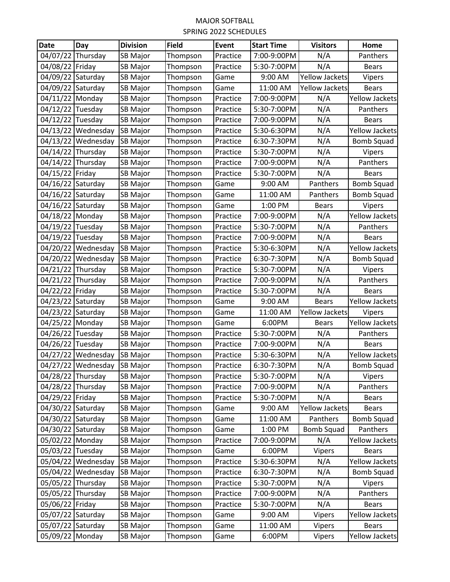## MAJOR SOFTBALL SPRING 2022 SCHEDULES

| <b>Date</b>       | Day                | <b>Division</b> | <b>Field</b> | Event    | <b>Start Time</b> | <b>Visitors</b>       | Home                  |
|-------------------|--------------------|-----------------|--------------|----------|-------------------|-----------------------|-----------------------|
| 04/07/22          | Thursday           | <b>SB Major</b> | Thompson     | Practice | 7:00-9:00PM       | N/A                   | Panthers              |
| 04/08/22          | Friday             | <b>SB Major</b> | Thompson     | Practice | 5:30-7:00PM       | N/A                   | <b>Bears</b>          |
| 04/09/22          | Saturday           | <b>SB Major</b> | Thompson     | Game     | 9:00 AM           | Yellow Jackets        | Vipers                |
| 04/09/22 Saturday |                    | <b>SB Major</b> | Thompson     | Game     | 11:00 AM          | <b>Yellow Jackets</b> | <b>Bears</b>          |
| 04/11/22 Monday   |                    | <b>SB Major</b> | Thompson     | Practice | 7:00-9:00PM       | N/A                   | <b>Yellow Jackets</b> |
| 04/12/22          | Tuesday            | <b>SB Major</b> | Thompson     | Practice | 5:30-7:00PM       | N/A                   | Panthers              |
| 04/12/22 Tuesday  |                    | <b>SB Major</b> | Thompson     | Practice | 7:00-9:00PM       | N/A                   | <b>Bears</b>          |
|                   | 04/13/22 Wednesday | <b>SB Major</b> | Thompson     | Practice | 5:30-6:30PM       | N/A                   | Yellow Jackets        |
|                   | 04/13/22 Wednesday | <b>SB Major</b> | Thompson     | Practice | 6:30-7:30PM       | N/A                   | <b>Bomb Squad</b>     |
| 04/14/22          | Thursday           | SB Major        | Thompson     | Practice | 5:30-7:00PM       | N/A                   | Vipers                |
| 04/14/22          | Thursday           | <b>SB Major</b> | Thompson     | Practice | 7:00-9:00PM       | N/A                   | Panthers              |
| 04/15/22          | Friday             | <b>SB Major</b> | Thompson     | Practice | 5:30-7:00PM       | N/A                   | <b>Bears</b>          |
| 04/16/22 Saturday |                    | <b>SB Major</b> | Thompson     | Game     | 9:00 AM           | Panthers              | <b>Bomb Squad</b>     |
| 04/16/22          | Saturday           | <b>SB Major</b> | Thompson     | Game     | 11:00 AM          | Panthers              | <b>Bomb Squad</b>     |
| 04/16/22          | Saturday           | <b>SB Major</b> | Thompson     | Game     | 1:00 PM           | <b>Bears</b>          | Vipers                |
| 04/18/22 Monday   |                    | SB Major        | Thompson     | Practice | 7:00-9:00PM       | N/A                   | <b>Yellow Jackets</b> |
| 04/19/22          | Tuesday            | <b>SB Major</b> | Thompson     | Practice | 5:30-7:00PM       | N/A                   | Panthers              |
| 04/19/22          | Tuesday            | <b>SB Major</b> | Thompson     | Practice | 7:00-9:00PM       | N/A                   | <b>Bears</b>          |
|                   | 04/20/22 Wednesday | <b>SB Major</b> | Thompson     | Practice | 5:30-6:30PM       | N/A                   | <b>Yellow Jackets</b> |
| 04/20/22          | Wednesday          | <b>SB Major</b> | Thompson     | Practice | 6:30-7:30PM       | N/A                   | <b>Bomb Squad</b>     |
| 04/21/22          | Thursday           | SB Major        | Thompson     | Practice | 5:30-7:00PM       | N/A                   | Vipers                |
| 04/21/22 Thursday |                    | <b>SB Major</b> | Thompson     | Practice | 7:00-9:00PM       | N/A                   | Panthers              |
| 04/22/22          | Friday             | <b>SB Major</b> | Thompson     | Practice | 5:30-7:00PM       | N/A                   | <b>Bears</b>          |
| 04/23/22          | Saturday           | <b>SB Major</b> | Thompson     | Game     | 9:00 AM           | <b>Bears</b>          | <b>Yellow Jackets</b> |
| 04/23/22          | Saturday           | SB Major        | Thompson     | Game     | 11:00 AM          | <b>Yellow Jackets</b> | Vipers                |
| 04/25/22          | Monday             | SB Major        | Thompson     | Game     | 6:00PM            | <b>Bears</b>          | <b>Yellow Jackets</b> |
| 04/26/22 Tuesday  |                    | <b>SB Major</b> | Thompson     | Practice | 5:30-7:00PM       | N/A                   | Panthers              |
| 04/26/22          | Tuesday            | <b>SB Major</b> | Thompson     | Practice | 7:00-9:00PM       | N/A                   | <b>Bears</b>          |
| 04/27/22          | Wednesday          | <b>SB Major</b> | Thompson     | Practice | 5:30-6:30PM       | N/A                   | <b>Yellow Jackets</b> |
|                   | 04/27/22 Wednesday | <b>SB Major</b> | Thompson     | Practice | 6:30-7:30PM       | N/A                   | Bomb Squad            |
| 04/28/22 Thursday |                    | SB Major        | Thompson     | Practice | 5:30-7:00PM       | N/A                   | Vipers                |
| 04/28/22 Thursday |                    | <b>SB Major</b> | Thompson     | Practice | 7:00-9:00PM       | N/A                   | Panthers              |
| 04/29/22 Friday   |                    | <b>SB Major</b> | Thompson     | Practice | 5:30-7:00PM       | N/A                   | <b>Bears</b>          |
| 04/30/22 Saturday |                    | <b>SB Major</b> | Thompson     | Game     | 9:00 AM           | <b>Yellow Jackets</b> | <b>Bears</b>          |
| 04/30/22 Saturday |                    | <b>SB Major</b> | Thompson     | Game     | 11:00 AM          | Panthers              | <b>Bomb Squad</b>     |
| 04/30/22 Saturday |                    | <b>SB Major</b> | Thompson     | Game     | 1:00 PM           | <b>Bomb Squad</b>     | Panthers              |
| 05/02/22 Monday   |                    | <b>SB Major</b> | Thompson     | Practice | 7:00-9:00PM       | N/A                   | <b>Yellow Jackets</b> |
| 05/03/22 Tuesday  |                    | SB Major        | Thompson     | Game     | 6:00PM            | Vipers                | <b>Bears</b>          |
|                   | 05/04/22 Wednesday | SB Major        | Thompson     | Practice | 5:30-6:30PM       | N/A                   | <b>Yellow Jackets</b> |
|                   | 05/04/22 Wednesday | <b>SB Major</b> | Thompson     | Practice | 6:30-7:30PM       | N/A                   | <b>Bomb Squad</b>     |
| 05/05/22 Thursday |                    | <b>SB Major</b> | Thompson     | Practice | 5:30-7:00PM       | N/A                   | Vipers                |
| 05/05/22 Thursday |                    | <b>SB Major</b> | Thompson     | Practice | 7:00-9:00PM       | N/A                   | Panthers              |
| 05/06/22          | Friday             | <b>SB Major</b> | Thompson     | Practice | 5:30-7:00PM       | N/A                   | <b>Bears</b>          |
| 05/07/22 Saturday |                    | <b>SB Major</b> | Thompson     | Game     | 9:00 AM           | Vipers                | <b>Yellow Jackets</b> |
| 05/07/22 Saturday |                    | SB Major        | Thompson     | Game     | 11:00 AM          | Vipers                | <b>Bears</b>          |
| 05/09/22 Monday   |                    | SB Major        | Thompson     | Game     | 6:00PM            | Vipers                | Yellow Jackets        |